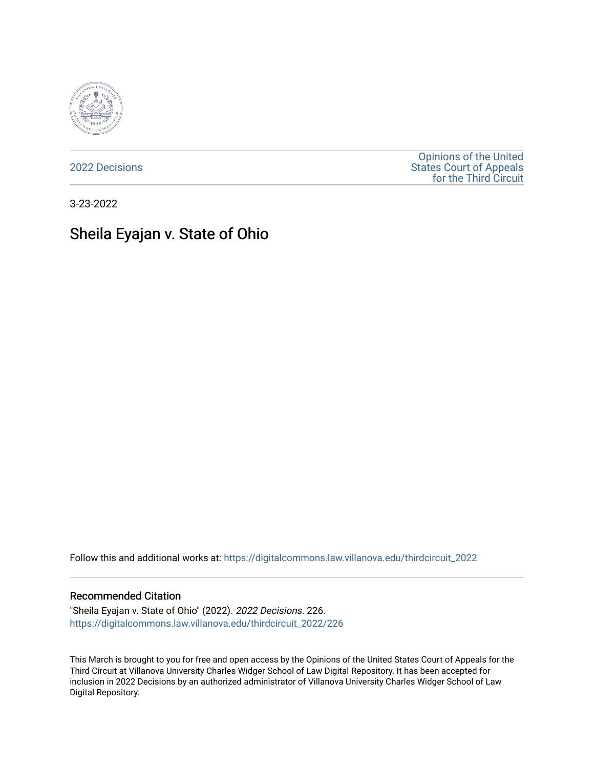

[2022 Decisions](https://digitalcommons.law.villanova.edu/thirdcircuit_2022)

[Opinions of the United](https://digitalcommons.law.villanova.edu/thirdcircuit)  [States Court of Appeals](https://digitalcommons.law.villanova.edu/thirdcircuit)  [for the Third Circuit](https://digitalcommons.law.villanova.edu/thirdcircuit) 

3-23-2022

# Sheila Eyajan v. State of Ohio

Follow this and additional works at: [https://digitalcommons.law.villanova.edu/thirdcircuit\\_2022](https://digitalcommons.law.villanova.edu/thirdcircuit_2022?utm_source=digitalcommons.law.villanova.edu%2Fthirdcircuit_2022%2F226&utm_medium=PDF&utm_campaign=PDFCoverPages) 

#### Recommended Citation

"Sheila Eyajan v. State of Ohio" (2022). 2022 Decisions. 226. [https://digitalcommons.law.villanova.edu/thirdcircuit\\_2022/226](https://digitalcommons.law.villanova.edu/thirdcircuit_2022/226?utm_source=digitalcommons.law.villanova.edu%2Fthirdcircuit_2022%2F226&utm_medium=PDF&utm_campaign=PDFCoverPages)

This March is brought to you for free and open access by the Opinions of the United States Court of Appeals for the Third Circuit at Villanova University Charles Widger School of Law Digital Repository. It has been accepted for inclusion in 2022 Decisions by an authorized administrator of Villanova University Charles Widger School of Law Digital Repository.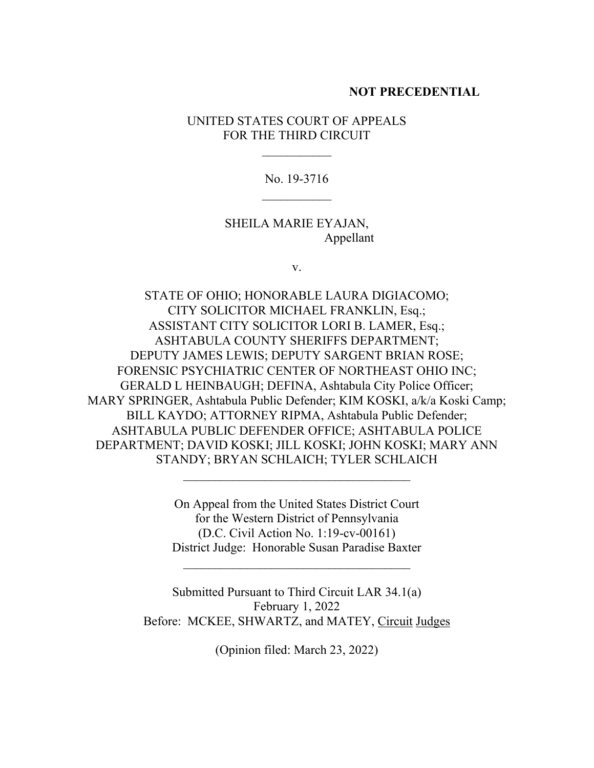### **NOT PRECEDENTIAL**

UNITED STATES COURT OF APPEALS FOR THE THIRD CIRCUIT

 $\frac{1}{2}$ 

No. 19-3716  $\overline{\phantom{a}}$ 

SHEILA MARIE EYAJAN, Appellant

v.

STATE OF OHIO; HONORABLE LAURA DIGIACOMO; CITY SOLICITOR MICHAEL FRANKLIN, Esq.; ASSISTANT CITY SOLICITOR LORI B. LAMER, Esq.; ASHTABULA COUNTY SHERIFFS DEPARTMENT; DEPUTY JAMES LEWIS; DEPUTY SARGENT BRIAN ROSE; FORENSIC PSYCHIATRIC CENTER OF NORTHEAST OHIO INC; GERALD L HEINBAUGH; DEFINA, Ashtabula City Police Officer; MARY SPRINGER, Ashtabula Public Defender; KIM KOSKI, a/k/a Koski Camp; BILL KAYDO; ATTORNEY RIPMA, Ashtabula Public Defender; ASHTABULA PUBLIC DEFENDER OFFICE; ASHTABULA POLICE DEPARTMENT; DAVID KOSKI; JILL KOSKI; JOHN KOSKI; MARY ANN STANDY; BRYAN SCHLAICH; TYLER SCHLAICH

> On Appeal from the United States District Court for the Western District of Pennsylvania (D.C. Civil Action No. 1:19-cv-00161) District Judge: Honorable Susan Paradise Baxter

 $\mathcal{L}_\text{max}$  , where  $\mathcal{L}_\text{max}$  is the set of the set of the set of the set of the set of the set of the set of the set of the set of the set of the set of the set of the set of the set of the set of the set of the se

\_\_\_\_\_\_\_\_\_\_\_\_\_\_\_\_\_\_\_\_\_\_\_\_\_\_\_\_\_\_\_\_\_\_\_\_

Submitted Pursuant to Third Circuit LAR 34.1(a) February 1, 2022 Before: MCKEE, SHWARTZ, and MATEY, Circuit Judges

(Opinion filed: March 23, 2022)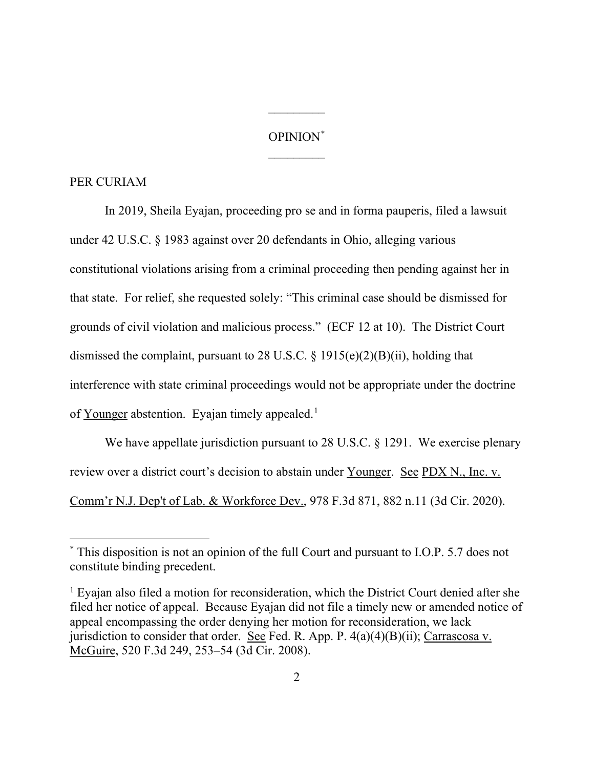## OPINION[\\*](#page-2-0)  $\frac{1}{2}$

 $\overline{\phantom{a}}$ 

#### PER CURIAM

In 2019, Sheila Eyajan, proceeding pro se and in forma pauperis, filed a lawsuit under 42 U.S.C. § 1983 against over 20 defendants in Ohio, alleging various constitutional violations arising from a criminal proceeding then pending against her in that state. For relief, she requested solely: "This criminal case should be dismissed for grounds of civil violation and malicious process." (ECF 12 at 10). The District Court dismissed the complaint, pursuant to 28 U.S.C. § 1915(e)(2)(B)(ii), holding that interference with state criminal proceedings would not be appropriate under the doctrine of Younger abstention. Eyajan timely appealed.<sup>[1](#page-2-1)</sup>

We have appellate jurisdiction pursuant to 28 U.S.C. § 1291. We exercise plenary review over a district court's decision to abstain under Younger. See PDX N., Inc. v. Comm'r N.J. Dep't of Lab. & Workforce Dev., 978 F.3d 871, 882 n.11 (3d Cir. 2020).

<span id="page-2-0"></span><sup>\*</sup> This disposition is not an opinion of the full Court and pursuant to I.O.P. 5.7 does not constitute binding precedent.

<span id="page-2-1"></span><sup>&</sup>lt;sup>1</sup> Eyajan also filed a motion for reconsideration, which the District Court denied after she filed her notice of appeal. Because Eyajan did not file a timely new or amended notice of appeal encompassing the order denying her motion for reconsideration, we lack jurisdiction to consider that order. See Fed. R. App. P.  $4(a)(4)(B)(ii)$ ; Carrascosa v. McGuire, 520 F.3d 249, 253–54 (3d Cir. 2008).